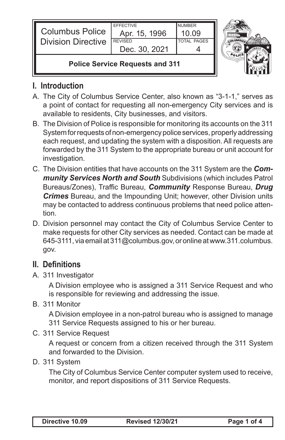| <b>Columbus Police</b><br>II<br><b>Division Directive</b> | <b>EFFECTIVE</b><br>Apr. 15, 1996<br><b>REVISED</b><br>Dec. 30, 2021 | <b>NUMBER</b><br>10.09<br><b>TOTAL PAGES</b> |  |
|-----------------------------------------------------------|----------------------------------------------------------------------|----------------------------------------------|--|
| <b>Police Service Requests and 311</b>                    |                                                                      |                                              |  |

## **I. Introduction**

- A. The City of Columbus Service Center, also known as "3-1-1," serves as a point of contact for requesting all non-emergency City services and is available to residents, City businesses, and visitors.
- B. The Division of Police is responsible for monitoring its accounts on the 311 System for requests of non-emergency police services, properly addressing each request, and updating the system with a disposition. All requests are forwarded by the 311 System to the appropriate bureau or unit account for investigation.
- C. The Division entities that have accounts on the 311 System are the *Community Services North and South* Subdivisions (which includes Patrol Bureaus/Zones), Traffic Bureau, *Community* Response Bureau, *Drug Crimes* Bureau, and the Impounding Unit; however, other Division units may be contacted to address continuous problems that need police attention.
- D. Division personnel may contact the City of Columbus Service Center to make requests for other City services as needed. Contact can be made at 645-3111, via email at 311@columbus.gov, or online at www.311.columbus. gov.

## **II. Definitions**

A. 311 Investigator

A Division employee who is assigned a 311 Service Request and who is responsible for reviewing and addressing the issue.

B. 311 Monitor

A Division employee in a non-patrol bureau who is assigned to manage 311 Service Requests assigned to his or her bureau.

C. 311 Service Request

A request or concern from a citizen received through the 311 System and forwarded to the Division.

D. 311 System

The City of Columbus Service Center computer system used to receive, monitor, and report dispositions of 311 Service Requests.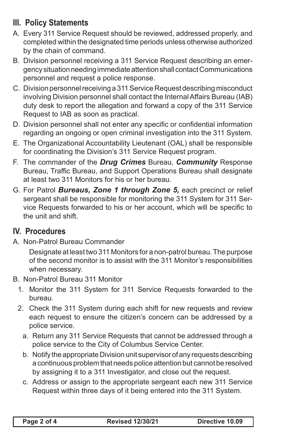## **III. Policy Statements**

- A. Every 311 Service Request should be reviewed, addressed properly, and completed within the designated time periods unless otherwise authorized by the chain of command.
- B. Division personnel receiving a 311 Service Request describing an emergency situation needing immediate attention shall contact Communications personnel and request a police response.
- C. Division personnel receiving a 311 Service Request describing misconduct involving Division personnel shall contact the Internal Affairs Bureau (IAB) duty desk to report the allegation and forward a copy of the 311 Service Request to IAB as soon as practical.
- D. Division personnel shall not enter any specific or confidential information regarding an ongoing or open criminal investigation into the 311 System.
- E. The Organizational Accountability Lieutenant (OAL) shall be responsible for coordinating the Division's 311 Service Request program.
- F. The commander of the *Drug Crimes* Bureau, *Community* Response Bureau, Traffic Bureau, and Support Operations Bureau shall designate at least two 311 Monitors for his or her bureau.
- G. For Patrol *Bureaus, Zone 1 through Zone 5,* each precinct or relief sergeant shall be responsible for monitoring the 311 System for 311 Service Requests forwarded to his or her account, which will be specific to the unit and shift.

## **IV. Procedures**

A. Non-Patrol Bureau Commander

Designate at least two 311 Monitors for a non-patrol bureau. The purpose of the second monitor is to assist with the 311 Monitor's responsibilities when necessary.

- B. Non-Patrol Bureau 311 Monitor
	- 1. Monitor the 311 System for 311 Service Requests forwarded to the bureau.
	- 2. Check the 311 System during each shift for new requests and review each request to ensure the citizen's concern can be addressed by a police service.
		- a. Return any 311 Service Requests that cannot be addressed through a police service to the City of Columbus Service Center.
		- b. Notify the appropriate Division unit supervisor of any requests describing a continuous problem that needs police attention but cannot be resolved by assigning it to a 311 Investigator, and close out the request.
		- c. Address or assign to the appropriate sergeant each new 311 Service Request within three days of it being entered into the 311 System.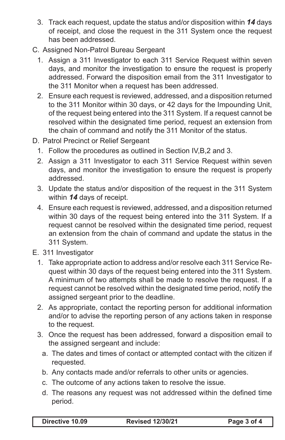- 3. Track each request, update the status and/or disposition within *14* days of receipt, and close the request in the 311 System once the request has been addressed.
- C. Assigned Non-Patrol Bureau Sergeant
	- 1. Assign a 311 Investigator to each 311 Service Request within seven days, and monitor the investigation to ensure the request is properly addressed. Forward the disposition email from the 311 Investigator to the 311 Monitor when a request has been addressed.
	- 2. Ensure each request is reviewed, addressed, and a disposition returned to the 311 Monitor within 30 days, or 42 days for the Impounding Unit, of the request being entered into the 311 System. If a request cannot be resolved within the designated time period, request an extension from the chain of command and notify the 311 Monitor of the status.
- D. Patrol Precinct or Relief Sergeant
	- 1. Follow the procedures as outlined in Section IV,B,2 and 3.
	- 2. Assign a 311 Investigator to each 311 Service Request within seven days, and monitor the investigation to ensure the request is properly addressed.
	- 3. Update the status and/or disposition of the request in the 311 System within *14* days of receipt.
	- 4. Ensure each request is reviewed, addressed, and a disposition returned within 30 days of the request being entered into the 311 System. If a request cannot be resolved within the designated time period, request an extension from the chain of command and update the status in the 311 System.
- E. 311 Investigator
	- 1. Take appropriate action to address and/or resolve each 311 Service Request within 30 days of the request being entered into the 311 System. A minimum of two attempts shall be made to resolve the request. If a request cannot be resolved within the designated time period, notify the assigned sergeant prior to the deadline.
	- 2. As appropriate, contact the reporting person for additional information and/or to advise the reporting person of any actions taken in response to the request.
	- 3. Once the request has been addressed, forward a disposition email to the assigned sergeant and include:
		- a. The dates and times of contact or attempted contact with the citizen if requested.
		- b. Any contacts made and/or referrals to other units or agencies.
		- c. The outcome of any actions taken to resolve the issue.
		- d. The reasons any request was not addressed within the defined time period.